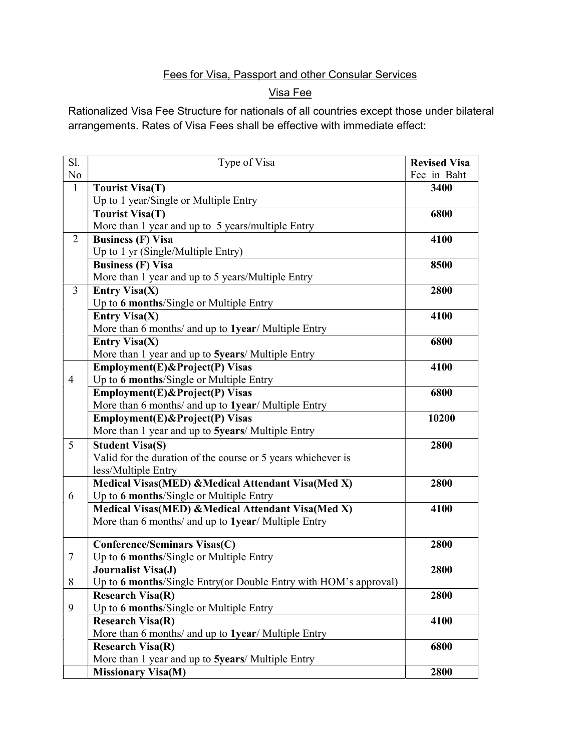### Fees for Visa, Passport and other Consular Services

### Visa Fee

Rationalized Visa Fee Structure for nationals of all countries except those under bilateral arrangements. Rates of Visa Fees shall be effective with immediate effect:

| Sl.            | Type of Visa                                                                           | <b>Revised Visa</b> |
|----------------|----------------------------------------------------------------------------------------|---------------------|
| No             |                                                                                        | Fee in Baht         |
| $\mathbf{1}$   | <b>Tourist Visa(T)</b>                                                                 | 3400                |
|                | Up to 1 year/Single or Multiple Entry                                                  |                     |
|                | <b>Tourist Visa(T)</b>                                                                 | 6800                |
|                | More than 1 year and up to 5 years/multiple Entry                                      |                     |
| $\overline{2}$ | <b>Business (F) Visa</b>                                                               | 4100                |
|                | Up to 1 yr (Single/Multiple Entry)                                                     |                     |
|                | <b>Business (F) Visa</b>                                                               | 8500                |
|                | More than 1 year and up to 5 years/Multiple Entry                                      |                     |
| 3              | <b>Entry Visa(X)</b>                                                                   | 2800                |
|                | Up to 6 months/Single or Multiple Entry                                                |                     |
|                | <b>Entry Visa(X)</b>                                                                   | 4100                |
|                | More than 6 months/ and up to 1year/ Multiple Entry                                    |                     |
|                | <b>Entry Visa(X)</b>                                                                   | 6800                |
|                | More than 1 year and up to 5years/ Multiple Entry                                      |                     |
|                | Employment(E)&Project(P) Visas                                                         | 4100                |
| $\overline{4}$ | Up to 6 months/Single or Multiple Entry                                                |                     |
|                | Employment(E)&Project(P) Visas                                                         | 6800                |
|                | More than 6 months/ and up to 1year/ Multiple Entry                                    |                     |
|                | Employment(E)&Project(P) Visas                                                         | 10200               |
|                | More than 1 year and up to 5years/ Multiple Entry                                      |                     |
| 5              | <b>Student Visa(S)</b>                                                                 | 2800                |
|                | Valid for the duration of the course or 5 years whichever is                           |                     |
|                | less/Multiple Entry                                                                    |                     |
|                | Medical Visas(MED) & Medical Attendant Visa(Med X)                                     | 2800                |
| 6              | Up to 6 months/Single or Multiple Entry                                                |                     |
|                | Medical Visas(MED) & Medical Attendant Visa(Med X)                                     | 4100                |
|                | More than 6 months/ and up to 1year/ Multiple Entry                                    |                     |
|                | <b>Conference/Seminars Visas(C)</b>                                                    | 2800                |
| $\tau$         |                                                                                        |                     |
|                | Up to 6 months/Single or Multiple Entry<br>2800                                        |                     |
| 8              | Journalist Visa(J)<br>Up to 6 months/Single Entry(or Double Entry with HOM's approval) |                     |
|                | <b>Research Visa(R)</b>                                                                | 2800                |
| 9              | Up to 6 months/Single or Multiple Entry                                                |                     |
|                | <b>Research Visa(R)</b>                                                                | 4100                |
|                | More than 6 months/ and up to 1year/ Multiple Entry                                    |                     |
|                | <b>Research Visa(R)</b>                                                                | 6800                |
|                | More than 1 year and up to 5years/ Multiple Entry                                      |                     |
|                | <b>Missionary Visa(M)</b>                                                              | 2800                |
|                |                                                                                        |                     |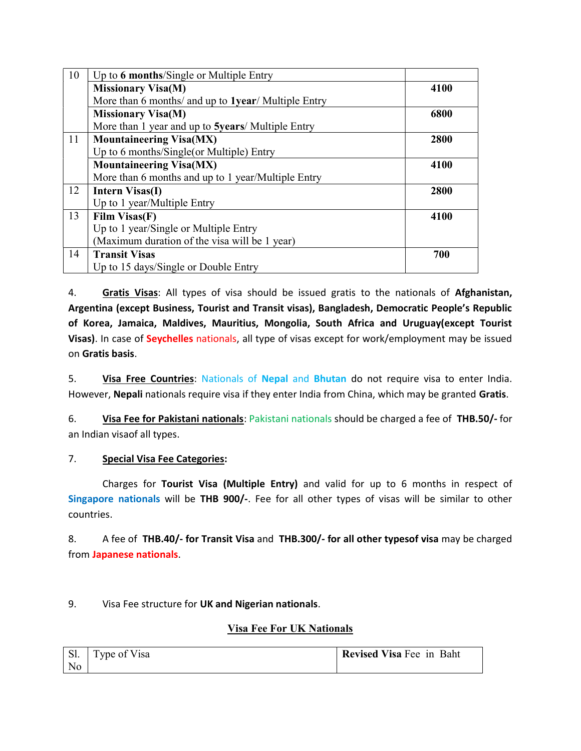| 10 | Up to 6 months/Single or Multiple Entry             |      |  |
|----|-----------------------------------------------------|------|--|
|    | <b>Missionary Visa(M)</b>                           | 4100 |  |
|    | More than 6 months/ and up to 1year/ Multiple Entry |      |  |
|    | <b>Missionary Visa(M)</b>                           | 6800 |  |
|    | More than 1 year and up to 5years/ Multiple Entry   |      |  |
| 11 | <b>Mountaineering Visa(MX)</b>                      | 2800 |  |
|    | Up to 6 months/Single(or Multiple) Entry            |      |  |
|    | <b>Mountaineering Visa(MX)</b>                      | 4100 |  |
|    | More than 6 months and up to 1 year/Multiple Entry  |      |  |
| 12 | Intern Visas(I)                                     | 2800 |  |
|    | Up to 1 year/Multiple Entry                         |      |  |
| 13 | Film Visas(F)                                       | 4100 |  |
|    | Up to 1 year/Single or Multiple Entry               |      |  |
|    | (Maximum duration of the visa will be 1 year)       |      |  |
| 14 | <b>Transit Visas</b>                                | 700  |  |
|    | Up to 15 days/Single or Double Entry                |      |  |

4. Gratis Visas: All types of visa should be issued gratis to the nationals of Afghanistan, Argentina (except Business, Tourist and Transit visas), Bangladesh, Democratic People's Republic of Korea, Jamaica, Maldives, Mauritius, Mongolia, South Africa and Uruguay(except Tourist Visas). In case of Seychelles nationals, all type of visas except for work/employment may be issued on Gratis basis.

5. Visa Free Countries: Nationals of Nepal and Bhutan do not require visa to enter India. However, Nepali nationals require visa if they enter India from China, which may be granted Gratis.

6. Visa Fee for Pakistani nationals: Pakistani nationals should be charged a fee of THB.50/- for an Indian visaof all types.

#### 7. Special Visa Fee Categories:

 Charges for Tourist Visa (Multiple Entry) and valid for up to 6 months in respect of Singapore nationals will be THB 900/-. Fee for all other types of visas will be similar to other countries.

8. A fee of THB.40/- for Transit Visa and THB.300/- for all other typesof visa may be charged from Japanese nationals.

9. Visa Fee structure for UK and Nigerian nationals.

#### Visa Fee For UK Nationals

| Sl.            | voe of Visa | <b>Revised Visa Fee in Baht</b> |
|----------------|-------------|---------------------------------|
| N <sub>o</sub> |             |                                 |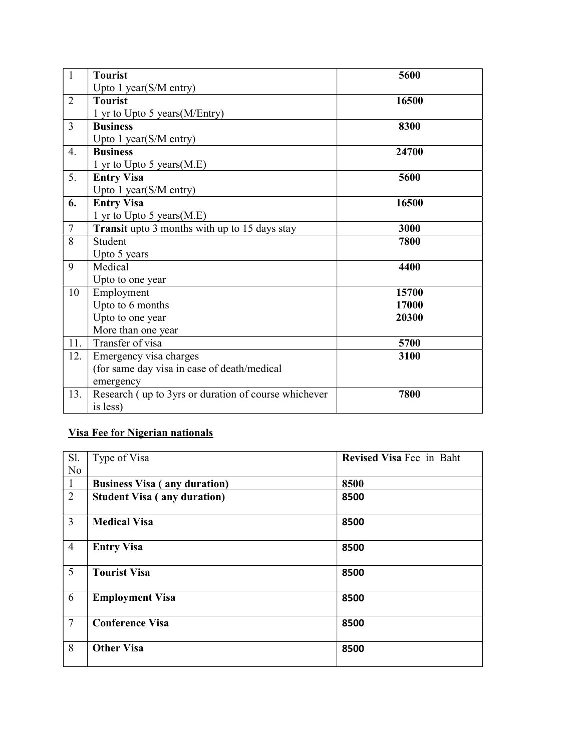| $\mathbf{1}$   | <b>Tourist</b>                                       | 5600  |
|----------------|------------------------------------------------------|-------|
|                | Upto 1 year(S/M entry)                               |       |
| $\overline{2}$ | <b>Tourist</b>                                       | 16500 |
|                | 1 yr to Upto 5 years (M/Entry)                       |       |
| $\overline{3}$ | <b>Business</b>                                      | 8300  |
|                | Upto 1 year(S/M entry)                               |       |
| 4.             | <b>Business</b>                                      | 24700 |
|                | 1 yr to Upto 5 years (M.E)                           |       |
| 5.             | <b>Entry Visa</b>                                    | 5600  |
|                | Upto 1 year(S/M entry)                               |       |
| 6.             | <b>Entry Visa</b>                                    | 16500 |
|                | 1 yr to Upto 5 years(M.E)                            |       |
| $\tau$         | <b>Transit</b> upto 3 months with up to 15 days stay | 3000  |
| 8              | Student                                              | 7800  |
|                | Upto 5 years                                         |       |
| 9              | Medical<br>4400                                      |       |
|                | Upto to one year                                     |       |
| 10             | Employment                                           | 15700 |
|                | Upto to 6 months                                     | 17000 |
|                | Upto to one year                                     | 20300 |
|                | More than one year                                   |       |
| 11.            | Transfer of visa                                     | 5700  |
| 12.            | Emergency visa charges                               | 3100  |
|                | (for same day visa in case of death/medical          |       |
|                | emergency                                            |       |
| 13.            | Research (up to 3yrs or duration of course whichever | 7800  |
|                | is less)                                             |       |

# Visa Fee for Nigerian nationals

| Sl.            | Type of Visa                        | Revised Visa Fee in Baht |
|----------------|-------------------------------------|--------------------------|
| N <sub>o</sub> |                                     |                          |
| -1             | <b>Business Visa (any duration)</b> | 8500                     |
| 2              | <b>Student Visa (any duration)</b>  | 8500                     |
| $\overline{3}$ | <b>Medical Visa</b>                 | 8500                     |
| $\overline{4}$ | <b>Entry Visa</b>                   | 8500                     |
| 5              | <b>Tourist Visa</b>                 | 8500                     |
| 6              | <b>Employment Visa</b>              | 8500                     |
| $\overline{7}$ | <b>Conference Visa</b>              | 8500                     |
| 8              | <b>Other Visa</b>                   | 8500                     |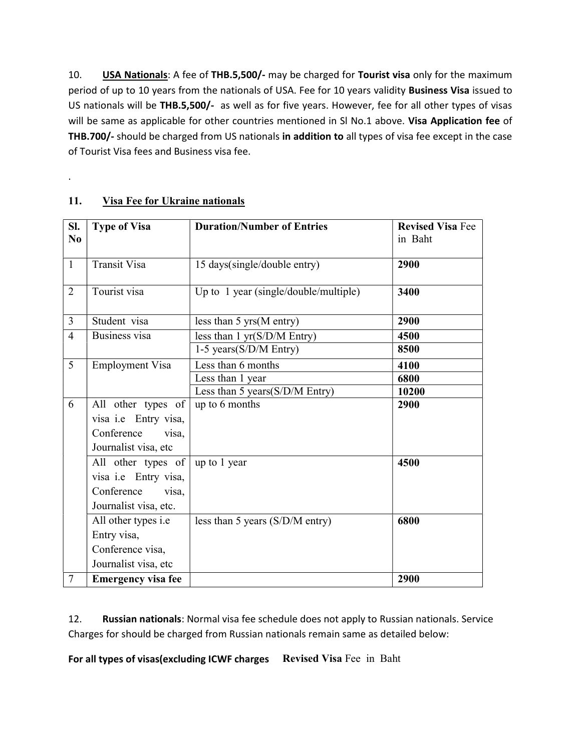10. **USA Nationals:** A fee of THB.5,500/- may be charged for Tourist visa only for the maximum period of up to 10 years from the nationals of USA. Fee for 10 years validity **Business Visa** issued to US nationals will be THB.5,500/- as well as for five years. However, fee for all other types of visas will be same as applicable for other countries mentioned in SI No.1 above. Visa Application fee of THB.700/- should be charged from US nationals in addition to all types of visa fee except in the case of Tourist Visa fees and Business visa fee.

| Sl.<br>No      | <b>Type of Visa</b>        | <b>Duration/Number of Entries</b>             | <b>Revised Visa Fee</b><br>in Baht |
|----------------|----------------------------|-----------------------------------------------|------------------------------------|
|                |                            |                                               |                                    |
| $\mathbf{1}$   | Transit Visa               | 15 days(single/double entry)                  | 2900                               |
| $\overline{2}$ | Tourist visa               | Up to 1 year (single/double/multiple)         | 3400                               |
|                |                            |                                               |                                    |
| $\overline{3}$ | Student visa               | less than $5 \text{ yrs}$ (M entry)           | 2900                               |
| $\overline{4}$ | <b>Business</b> visa       | less than $1 \text{ yr}(S/D/M \text{ Entry})$ | 4500                               |
|                |                            | 1-5 years(S/D/M Entry)                        | 8500                               |
| 5              | <b>Employment Visa</b>     | Less than 6 months                            | 4100                               |
|                |                            | Less than 1 year                              | 6800                               |
|                |                            | Less than 5 years(S/D/M Entry)                | 10200                              |
| 6              | All other types of         | up to 6 months                                | 2900                               |
|                | visa i.e Entry visa,       |                                               |                                    |
|                | Conference<br>visa,        |                                               |                                    |
|                | Journalist visa, etc       |                                               |                                    |
|                | All other types of         | up to 1 year                                  | 4500                               |
|                | visa i.e Entry visa,       |                                               |                                    |
|                | Conference<br>visa,        |                                               |                                    |
|                | Journalist visa, etc.      |                                               |                                    |
|                | All other types <i>i.e</i> | less than 5 years $(S/D/M$ entry)             | 6800                               |
|                | Entry visa,                |                                               |                                    |
|                | Conference visa,           |                                               |                                    |
|                | Journalist visa, etc       |                                               |                                    |
| $\overline{7}$ | <b>Emergency visa fee</b>  |                                               | 2900                               |

#### 11. Visa Fee for Ukraine nationals

.

12. Russian nationals: Normal visa fee schedule does not apply to Russian nationals. Service Charges for should be charged from Russian nationals remain same as detailed below:

For all types of visas(excluding ICWF charges Revised Visa Fee in Baht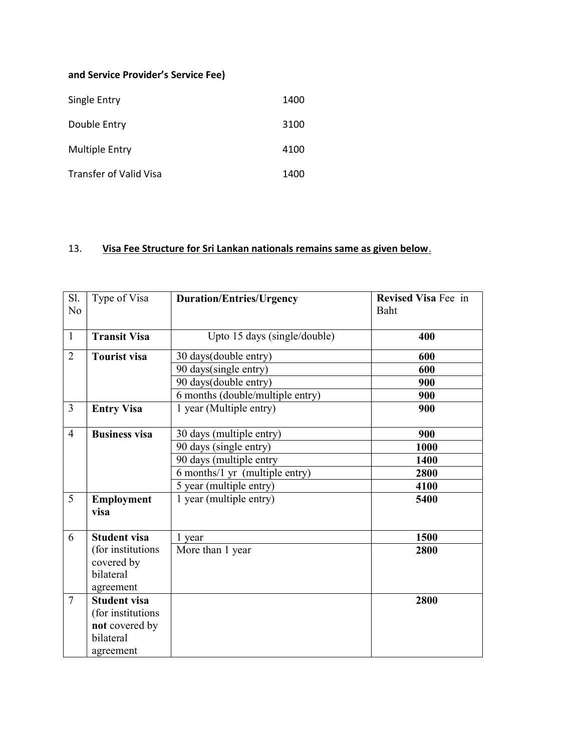#### and Service Provider's Service Fee)

| Single Entry           | 1400 |
|------------------------|------|
| Double Entry           | 3100 |
| <b>Multiple Entry</b>  | 4100 |
| Transfer of Valid Visa | 1400 |

### 13. Visa Fee Structure for Sri Lankan nationals remains same as given below.

| Sl.<br>N <sub>o</sub> | Type of Visa         | <b>Duration/Entries/Urgency</b>  | <b>Revised Visa Fee in</b><br>Baht |
|-----------------------|----------------------|----------------------------------|------------------------------------|
| $\mathbf{1}$          | <b>Transit Visa</b>  | Upto 15 days (single/double)     | 400                                |
| $\overline{2}$        | <b>Tourist visa</b>  | 30 days(double entry)            | 600                                |
|                       |                      | 90 days(single entry)            | 600                                |
|                       |                      | 90 days(double entry)            | 900                                |
|                       |                      | 6 months (double/multiple entry) | 900                                |
| $\overline{3}$        | <b>Entry Visa</b>    | 1 year (Multiple entry)          | 900                                |
| $\overline{4}$        | <b>Business visa</b> | 30 days (multiple entry)         | 900                                |
|                       |                      | 90 days (single entry)           | 1000                               |
|                       |                      | 90 days (multiple entry          | 1400                               |
|                       |                      | 6 months/1 yr (multiple entry)   | 2800                               |
|                       |                      | 5 year (multiple entry)          | 4100                               |
| 5                     | Employment           | 1 year (multiple entry)          | 5400                               |
|                       | visa                 |                                  |                                    |
| 6                     | <b>Student visa</b>  | 1 year                           | 1500                               |
|                       | (for institutions    | More than 1 year                 | 2800                               |
|                       | covered by           |                                  |                                    |
|                       | bilateral            |                                  |                                    |
|                       | agreement            |                                  |                                    |
| $\overline{7}$        | <b>Student visa</b>  |                                  | 2800                               |
|                       | (for institutions    |                                  |                                    |
|                       | not covered by       |                                  |                                    |
|                       | bilateral            |                                  |                                    |
|                       | agreement            |                                  |                                    |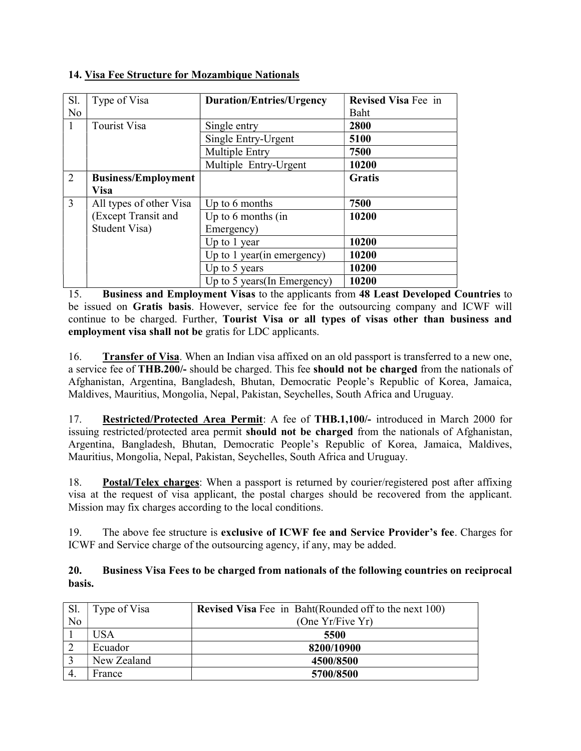| Sl.            | Type of Visa               | <b>Duration/Entries/Urgency</b> | <b>Revised Visa Fee in</b> |
|----------------|----------------------------|---------------------------------|----------------------------|
| N <sub>o</sub> |                            |                                 | Baht                       |
| $\mathbf{1}$   | <b>Tourist Visa</b>        | Single entry                    | 2800                       |
|                |                            | Single Entry-Urgent             | 5100                       |
|                |                            | Multiple Entry                  | 7500                       |
|                |                            | Multiple Entry-Urgent           | 10200                      |
| 2              | <b>Business/Employment</b> |                                 | <b>Gratis</b>              |
|                | <b>Visa</b>                |                                 |                            |
| 3              | All types of other Visa    | Up to 6 months                  | 7500                       |
|                | (Except Transit and        | Up to $6$ months (in            | 10200                      |
|                | Student Visa)              | Emergency)                      |                            |
|                |                            | Up to 1 year                    | 10200                      |
|                |                            | Up to 1 year(in emergency)      | 10200                      |
|                |                            | Up to 5 years                   | 10200                      |
|                |                            | Up to 5 years (In Emergency)    | 10200                      |

#### 14. Visa Fee Structure for Mozambique Nationals

15. Business and Employment Visas to the applicants from 48 Least Developed Countries to be issued on Gratis basis. However, service fee for the outsourcing company and ICWF will continue to be charged. Further, Tourist Visa or all types of visas other than business and employment visa shall not be gratis for LDC applicants.

16. Transfer of Visa. When an Indian visa affixed on an old passport is transferred to a new one, a service fee of THB.200/- should be charged. This fee should not be charged from the nationals of Afghanistan, Argentina, Bangladesh, Bhutan, Democratic People's Republic of Korea, Jamaica, Maldives, Mauritius, Mongolia, Nepal, Pakistan, Seychelles, South Africa and Uruguay.

17. Restricted/Protected Area Permit: A fee of THB.1,100/- introduced in March 2000 for issuing restricted/protected area permit should not be charged from the nationals of Afghanistan, Argentina, Bangladesh, Bhutan, Democratic People's Republic of Korea, Jamaica, Maldives, Mauritius, Mongolia, Nepal, Pakistan, Seychelles, South Africa and Uruguay.

18. Postal/Telex charges: When a passport is returned by courier/registered post after affixing visa at the request of visa applicant, the postal charges should be recovered from the applicant. Mission may fix charges according to the local conditions.

19. The above fee structure is exclusive of ICWF fee and Service Provider's fee. Charges for ICWF and Service charge of the outsourcing agency, if any, may be added.

#### 20. Business Visa Fees to be charged from nationals of the following countries on reciprocal basis.

| Sl. | Type of Visa | <b>Revised Visa</b> Fee in Baht (Rounded off to the next 100) |
|-----|--------------|---------------------------------------------------------------|
| No  |              | (One Yr/Five Yr)                                              |
|     | <b>USA</b>   | 5500                                                          |
|     | Ecuador      | 8200/10900                                                    |
| 3   | New Zealand  | 4500/8500                                                     |
| 4.  | France       | 5700/8500                                                     |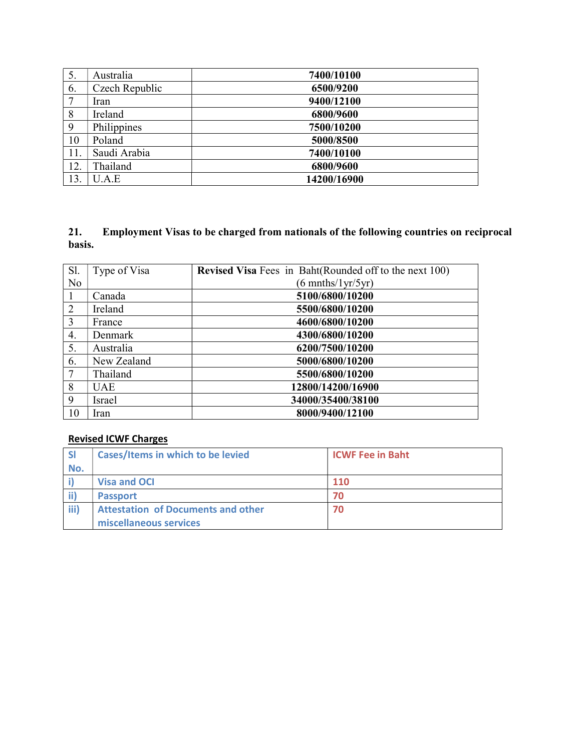| 5.  | Australia      | 7400/10100  |
|-----|----------------|-------------|
| 6.  | Czech Republic | 6500/9200   |
| 7   | Iran           | 9400/12100  |
| 8   | Ireland        | 6800/9600   |
| 9   | Philippines    | 7500/10200  |
| 10  | Poland         | 5000/8500   |
| 11. | Saudi Arabia   | 7400/10100  |
| 12. | Thailand       | 6800/9600   |
| 13. | U.A.E          | 14200/16900 |

#### 21. Employment Visas to be charged from nationals of the following countries on reciprocal basis.

| Sl.            | Type of Visa | <b>Revised Visa</b> Fees in Baht(Rounded off to the next 100) |
|----------------|--------------|---------------------------------------------------------------|
| N <sub>o</sub> |              | $(6 \text{ muths}/1 \text{yr}/5 \text{yr})$                   |
|                | Canada       | 5100/6800/10200                                               |
| 2              | Ireland      | 5500/6800/10200                                               |
| 3              | France       | 4600/6800/10200                                               |
| 4.             | Denmark      | 4300/6800/10200                                               |
| 5.             | Australia    | 6200/7500/10200                                               |
| 6.             | New Zealand  | 5000/6800/10200                                               |
| 7              | Thailand     | 5500/6800/10200                                               |
| 8              | <b>UAE</b>   | 12800/14200/16900                                             |
| 9              | Israel       | 34000/35400/38100                                             |
| 10             | Iran         | 8000/9400/12100                                               |

#### Revised ICWF Charges

| <b>SI</b> | <b>Cases/Items in which to be levied</b>  | <b>ICWF Fee in Baht</b> |  |
|-----------|-------------------------------------------|-------------------------|--|
| No.       |                                           |                         |  |
|           | Visa and OCI                              | <b>110</b>              |  |
|           | <b>Passport</b>                           | 70                      |  |
| iii)      | <b>Attestation of Documents and other</b> | 70                      |  |
|           | miscellaneous services                    |                         |  |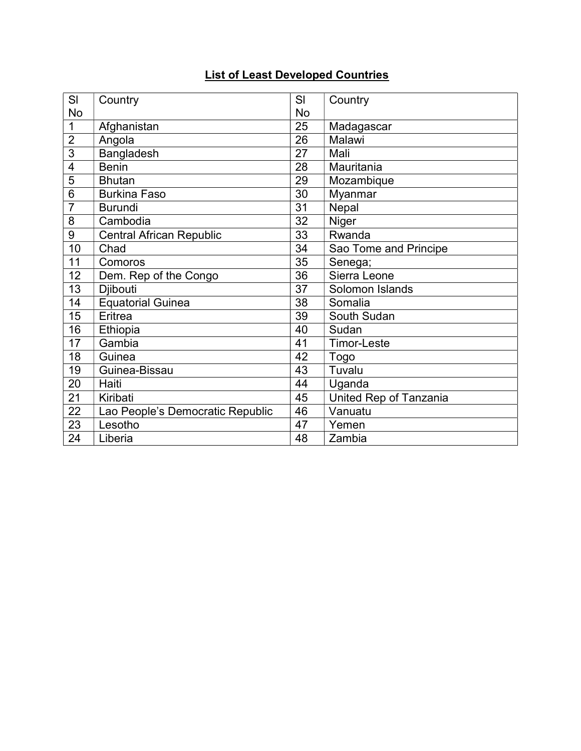## List of Least Developed Countries

| SI                      | Country                          | SI        | Country                |
|-------------------------|----------------------------------|-----------|------------------------|
| No                      |                                  | <b>No</b> |                        |
| 1                       | Afghanistan                      | 25        | Madagascar             |
| $\overline{2}$          | Angola                           | 26        | Malawi                 |
| 3                       | <b>Bangladesh</b>                | 27        | Mali                   |
| $\overline{\mathbf{4}}$ | <b>Benin</b>                     | 28        | Mauritania             |
| 5                       | <b>Bhutan</b>                    | 29        | Mozambique             |
| 6                       | <b>Burkina Faso</b>              | 30        | Myanmar                |
| 7                       | <b>Burundi</b>                   | 31        | Nepal                  |
| 8                       | Cambodia                         | 32        | Niger                  |
| 9                       | <b>Central African Republic</b>  | 33        | Rwanda                 |
| 10                      | Chad                             | 34        | Sao Tome and Principe  |
| 11                      | Comoros                          | 35        | Senega;                |
| 12                      | Dem. Rep of the Congo            | 36        | Sierra Leone           |
| 13                      | Djibouti                         | 37        | Solomon Islands        |
| 14                      | <b>Equatorial Guinea</b>         | 38        | Somalia                |
| 15                      | Eritrea                          | 39        | South Sudan            |
| 16                      | Ethiopia                         | 40        | Sudan                  |
| 17                      | Gambia                           | 41        | <b>Timor-Leste</b>     |
| 18                      | Guinea                           | 42        | Togo                   |
| 19                      | Guinea-Bissau                    | 43        | Tuvalu                 |
| 20                      | Haiti                            | 44        | Uganda                 |
| 21                      | Kiribati                         | 45        | United Rep of Tanzania |
| 22                      | Lao People's Democratic Republic | 46        | Vanuatu                |
| 23                      | Lesotho                          | 47        | Yemen                  |
| 24                      | Liberia                          | 48        | Zambia                 |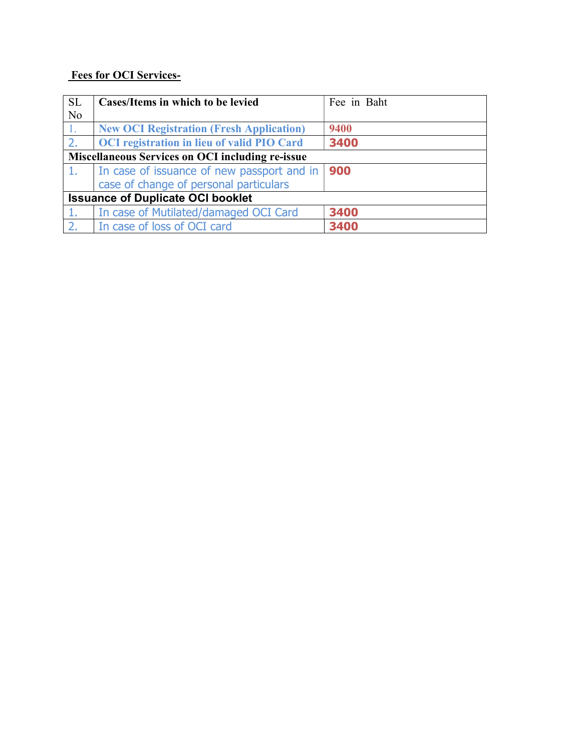### Fees for OCI Services-

| <b>SL</b><br>N <sub>o</sub>                      | Cases/Items in which to be levied                                                    | Fee in Baht |  |
|--------------------------------------------------|--------------------------------------------------------------------------------------|-------------|--|
|                                                  | <b>New OCI Registration (Fresh Application)</b>                                      | 9400        |  |
| 2.                                               | <b>OCI</b> registration in lieu of valid PIO Card                                    | 3400        |  |
| Miscellaneous Services on OCI including re-issue |                                                                                      |             |  |
| 1.                                               | In case of issuance of new passport and in<br>case of change of personal particulars | 900         |  |
| <b>Issuance of Duplicate OCI booklet</b>         |                                                                                      |             |  |
|                                                  | In case of Mutilated/damaged OCI Card                                                | 3400        |  |
| 2.                                               | In case of loss of OCI card                                                          | 3400        |  |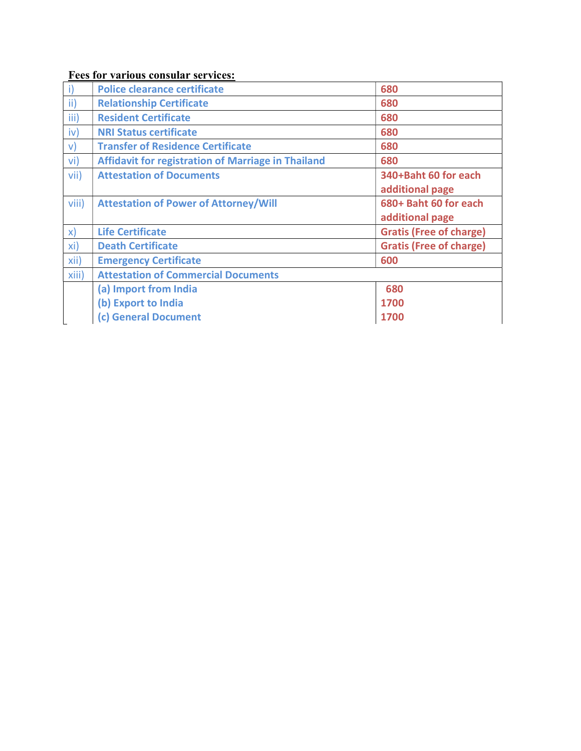### Fees for various consular services:

| i)            | <b>Police clearance certificate</b>                | 680                            |
|---------------|----------------------------------------------------|--------------------------------|
| $\mathsf{ii}$ | <b>Relationship Certificate</b>                    | 680                            |
| iii)          | <b>Resident Certificate</b>                        | 680                            |
| iv)           | <b>NRI Status certificate</b>                      | 680                            |
| $\mathsf{v}$  | <b>Transfer of Residence Certificate</b>           | 680                            |
| vi)           | Affidavit for registration of Marriage in Thailand | 680                            |
| vii)          | <b>Attestation of Documents</b>                    | 340+Baht 60 for each           |
|               |                                                    | additional page                |
| viii)         | <b>Attestation of Power of Attorney/Will</b>       | 680+ Baht 60 for each          |
|               |                                                    | additional page                |
| $\mathsf{x}$  | <b>Life Certificate</b>                            | <b>Gratis (Free of charge)</b> |
| xi)           | <b>Death Certificate</b>                           | <b>Gratis (Free of charge)</b> |
| xii)          | <b>Emergency Certificate</b>                       | 600                            |
| xiii)         | <b>Attestation of Commercial Documents</b>         |                                |
|               | (a) Import from India                              | 680                            |
|               | (b) Export to India                                | 1700                           |
|               | (c) General Document                               | 1700                           |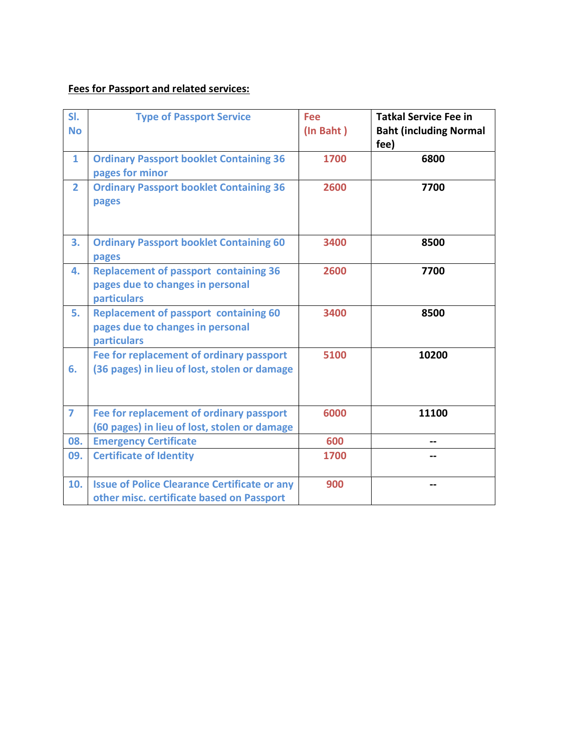### Fees for Passport and related services:

| SI.<br><b>No</b> | <b>Type of Passport Service</b>                                                                  | Fee<br>(In Baht) | <b>Tatkal Service Fee in</b><br><b>Baht (including Normal</b><br>fee) |
|------------------|--------------------------------------------------------------------------------------------------|------------------|-----------------------------------------------------------------------|
| $\mathbf{1}$     | <b>Ordinary Passport booklet Containing 36</b><br>pages for minor                                | 1700             | 6800                                                                  |
| $\overline{2}$   | <b>Ordinary Passport booklet Containing 36</b><br>pages                                          | 2600             | 7700                                                                  |
| 3.               | <b>Ordinary Passport booklet Containing 60</b><br>pages                                          | 3400             | 8500                                                                  |
| 4.               | <b>Replacement of passport containing 36</b><br>pages due to changes in personal<br>particulars  | 2600             | 7700                                                                  |
| 5.               | <b>Replacement of passport containing 60</b><br>pages due to changes in personal<br>particulars  | 3400             | 8500                                                                  |
| 6.               | Fee for replacement of ordinary passport<br>(36 pages) in lieu of lost, stolen or damage         | 5100             | 10200                                                                 |
| $\overline{7}$   | Fee for replacement of ordinary passport<br>(60 pages) in lieu of lost, stolen or damage         | 6000             | 11100                                                                 |
| 08.              | <b>Emergency Certificate</b>                                                                     | 600              |                                                                       |
| 09.              | <b>Certificate of Identity</b>                                                                   | 1700             |                                                                       |
| 10.              | <b>Issue of Police Clearance Certificate or any</b><br>other misc. certificate based on Passport | 900              |                                                                       |